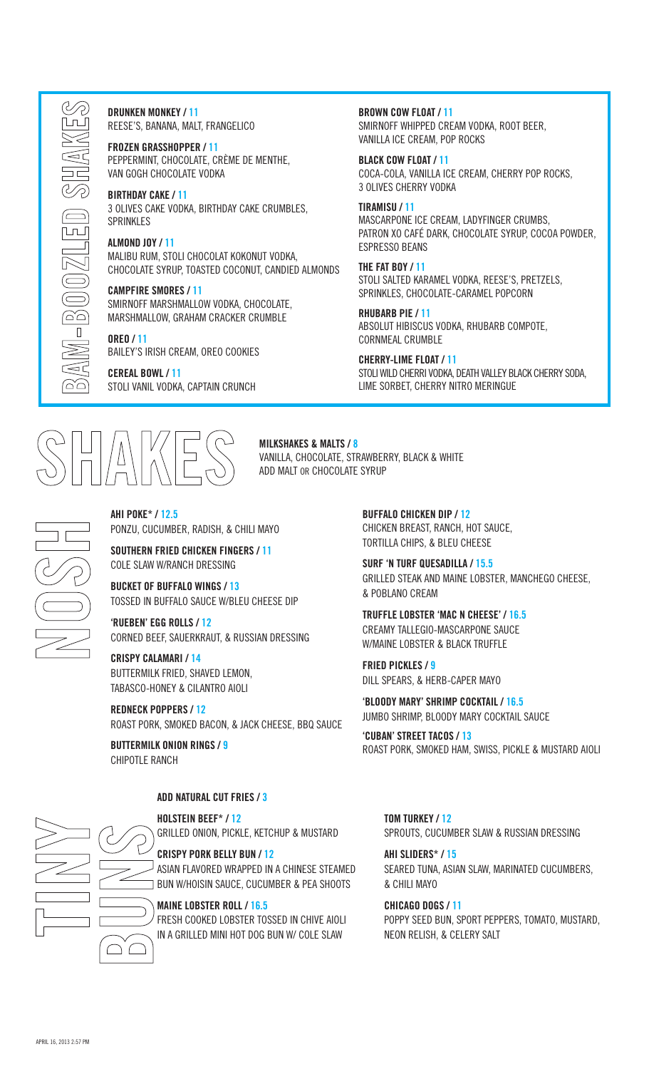DRUNKEN MONKEY / 11 REESE'S, BANANA, MALT, FRANGELICO

FROZEN GRASSHOPPER / 11 PEPPERMINT, CHOCOLATE, CRÈME DE MENTHE, VAN GOGH CHOCOLATE VODKA

BIRTHDAY CAKE / 11 3 OLIVES CAKE VODKA, BIRTHDAY CAKE CRUMBLES, SPRINKLES

ALMOND JOY / 11 MALIBU RUM, STOLI CHOCOLAT KOKONUT VODKA, CHOCOLATE SYRUP, TOASTED COCONUT, CANDIED ALMONDS

CAMPFIRE SMORES / 11 SMIRNOFF MARSHMALLOW VODKA, CHOCOLATE, MARSHMALLOW, GRAHAM CRACKER CRUMBLE

OREO / 11 BAILEY'S IRISH CREAM, OREO COOKIES

CEREAL BOWL / 11 STOLI VANIL VODKA, CAPTAIN CRUNCH

## BROWN COW FLOAT / 11

SMIRNOFF WHIPPED CREAM VODKA, ROOT BEER, VANILLA ICE CREAM, POP ROCKS

BLACK COW FLOAT / 11 COCA-COLA, VANILLA ICE CREAM, CHERRY POP ROCKS, 3 OLIVES CHERRY VODKA

## TIRAMISU / 11

MASCARPONE ICE CREAM, LADYFINGER CRUMBS, PATRON XO CAFÉ DARK, CHOCOLATE SYRUP, COCOA POWDER, ESPRESSO BEANS

THE FAT BOY / 11 STOLI SALTED KARAMEL VODKA, REESE'S, PRETZELS, SPRINKLES, CHOCOLATE-CARAMEL POPCORN

RHUBARB PIE / 11 ABSOLUT HIBISCUS VODKA, RHUBARB COMPOTE, CORNMEAL CRUMBLE

CHERRY-LIME FLOAT / 11 STOLI WILD CHERRI VODKA, DEATH VALLEY BLACK CHERRY SODA, LIME SORBET, CHERRY NITRO MERINGUE

## AHI POKE\* / 12.5

PONZU, CUCUMBER, RADISH, & CHILI MAYO

SOUTHERN FRIED CHICKEN FINGERS / 11 COLE SLAW W/RANCH DRESSING

TOSSED IN BUFFALO SAUCE W/BLEU CHEESE DIP

'RUEBEN' EGG ROLLS / 12 CORNED BEEF, SAUERKRAUT, & RUSSIAN DRESSING

CRISPY CALAMARI / 14 BUTTERMILK FRIED, SHAVED LEMON, TABASCO-HONEY & CILANTRO AIOLI

REDNECK POPPERS / 12 ROAST PORK, SMOKED BACON, & JACK CHEESE, BBQ SAUCE

BUTTERMILK ONION RINGS / 9 CHIPOTI F RANCH

## ADD NATURAL CUT FRIES / 3

## HOLSTEIN BEEF\* / 12

GRILLED ONION, PICKLE, KETCHUP & MUSTARD

## CRISPY PORK BELLY BUN / 12

ASIAN FLAVORED WRAPPED IN A CHINESE STEAMED BUN W/HOISIN SAUCE, CUCUMBER & PEA SHOOTS

## MAINE LOBSTER ROLL / 16.5

FRESH COOKED LOBSTER TOSSED IN CHIVE AIOLI IN A GRILLED MINI HOT DOG BUN W/ COLE SLAW

BUFFALO CHICKEN DIP / 12 CHICKEN BREAST, RANCH, HOT SAUCE, TORTILLA CHIPS, & BLEU CHEESE

SURF 'N TURF QUESADILLA / 15.5 GRILLED STEAK AND MAINE LOBSTER, MANCHEGO CHEESE, & POBLANO CREAM

TRUFFLE LOBSTER 'MAC N CHEESE' / 16.5 CREAMY TALLEGIO-MASCARPONE SAUCE W/MAINE LOBSTER & BLACK TRUFFLE

FRIED PICKLES / 9 DILL SPEARS, & HERB-CAPER MAYO

'BLOODY MARY' SHRIMP COCKTAIL / 16.5 JUMBO SHRIMP, BLOODY MARY COCKTAIL SAUCE

'CUBAN' STREET TACOS / 13 ROAST PORK, SMOKED HAM, SWISS, PICKLE & MUSTARD AIOLI

TOM TURKEY / 12 SPROUTS, CUCUMBER SLAW & RUSSIAN DRESSING

AHI SLIDERS\* / 15 SEARED TUNA, ASIAN SLAW, MARINATED CUCUMBERS, & CHILI MAYO

CHICAGO DOGS / 11 POPPY SEED BUN, SPORT PEPPERS, TOMATO, MUSTARD, NEON RELISH, & CELERY SALT



MILKSHAKES & MALTS / 8

ADD MALT OR CHOCOLATE SYRUP

VANILLA, CHOCOLATE, STRAWBERRY, BLACK & WHITE

BUCKET OF BUFFALO WINGS / 13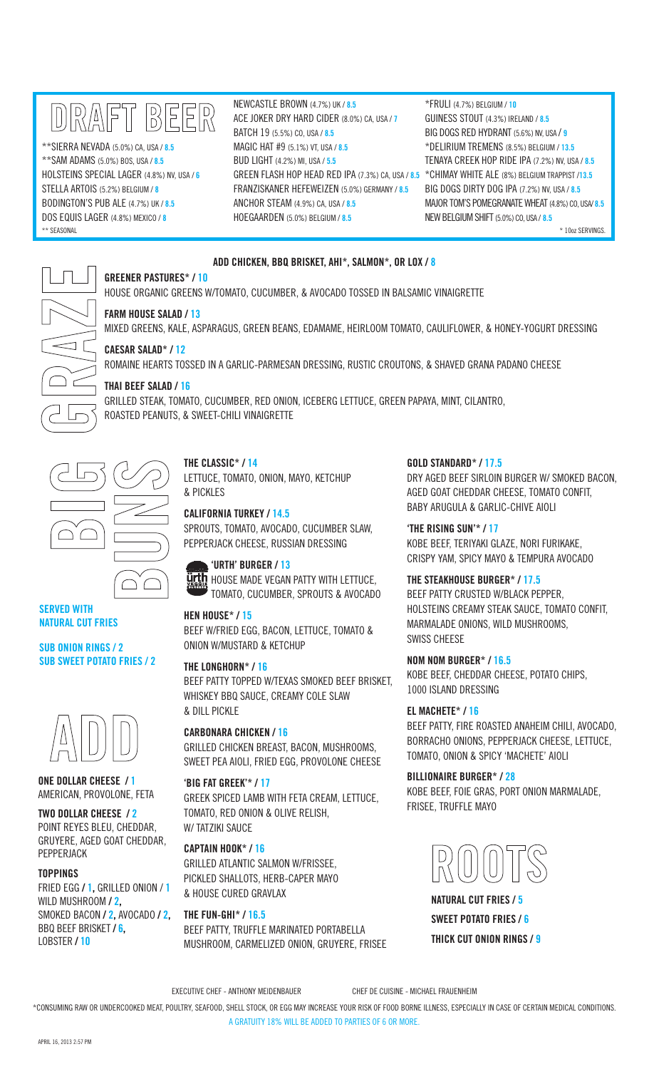## DRAFT BEER

\*\*SIERRA NEVADA (5.0%) CA, USA / 8.5 \*\*SAM ADAMS (5.0%) BOS, USA / 8.5 HOLSTEINS SPECIAL LAGER (4.8%) NV, USA / 6 STELLA ARTOIS (5.2%) BELGIUM / 8 BODINGTON'S PUB ALE (4.7%) UK / 8.5 DOS EQUIS LAGER (4.8%) MEXICO / 8 \*\* SEASONAL \* 10oz SERVINGS.

NEWCASTLE BROWN (4.7%) UK / 8.5 ACE JOKER DRY HARD CIDER (8.0%) CA, USA / 7 BATCH 19 (5.5%) CO, USA / 8.5 MAGIC HAT #9 (5.1%) VT, USA / 8.5 BUD LIGHT (4.2%) MI, USA / 5.5 GREEN FLASH HOP HEAD RED IPA (7.3%) CA, USA / 8.5 \*CHIMAY WHITE ALE (8%) BELGIUM TRAPPIST /13.5 FRANZISKANER HEFEWEIZEN (5.0%) GERMANY / 8.5 ANCHOR STEAM  $(4.9\%)$  CA, USA  $/8.5$ HOEGAARDEN (5.0%) BELGIUM / 8.5

\*FRULI (4.7%) BELGIUM / 10 GUINESS STOUT (4.3%) IRELAND / 8.5 BIG DOGS RED HYDRANT (5.6%) NV, USA / 9 \*DELIRIUM TREMENS (8.5%) BELGIUM / 13.5 TENAYA CREEK HOP RIDE IPA (7.2%) NV, USA / 8.5 BIG DOGS DIRTY DOG IPA (7.2%) NV, USA / 8.5 MAJOR TOM'S POMEGRANATE WHEAT (4.8%) CO, USA/ 8.5 NEW BELGIUM SHIFT (5.0%) CO, USA / 8.5

## ADD CHICKEN, BBQ BRISKET, AHI\*, SALMON\*, OR LOX / 8

GREENER PASTURES\* / 10

HOUSE ORGANIC GREENS W/TOMATO, CUCUMBER, & AVOCADO TOSSED IN BALSAMIC VINAIGRETTE

GRILLED STEAK, TOMATO, CUCUMBER, RED ONION, ICEBERG LETTUCE, GREEN PAPAYA, MINT, CILANTRO,

## FARM HOUSE SALAD / 13

CAESAR SALAD\* / 12

THAI BEEF SALAD / 16

MIXED GREENS, KALE, ASPARAGUS, GREEN BEANS, EDAMAME, HEIRLOOM TOMATO, CAULIFLOWER, & HONEY-YOGURT DRESSING

ROMAINE HEARTS TOSSED IN A GARLIC-PARMESAN DRESSING, RUSTIC CROUTONS, & SHAVED GRANA PADANO CHEESE

# $\lhd$   $\lceil$  $\Gamma$

) (

ヿ゙

## SERVED WITH NATURAL CUT FRIES

SUB ONION RINGS / 2 SUB SWEET POTATO FRIES / 2



ONE DOLLAR CHEESE / 1 AMERICAN, PROVOLONE, FETA

TWO DOLLAR CHEESE / 2 POINT REYES BLEU, CHEDDAR, GRUYERE, AGED GOAT CHEDDAR, PEPPERJACK

## TOPPINGS

FRIED EGG / 1, GRILLED ONION / 1 WILD MUSHROOM / 2, SMOKED BACON / 2, AVOCADO / 2, BBQ BEEF BRISKET / 6, LOBSTER / 10

## THE CLASSIC\* / 14

ROASTED PEANUTS, & SWEET-CHILI VINAIGRETTE

LETTUCE, TOMATO, ONION, MAYO, KETCHUP & PICKLES

CALIFORNIA TURKEY / 14.5 SPROUTS, TOMATO, AVOCADO, CUCUMBER SLAW, PEPPERJACK CHEESE, RUSSIAN DRESSING

## 'URTH' BURGER / 13

**Ürth** HOUSE MADE VEGAN PATTY WITH LETTUCE, TOMATO, CUCUMBER, SPROUTS & AVOCADO

## HEN HOUSE\* / 15

## BEEF W/FRIED EGG, BACON, LETTUCE, TOMATO & ONION W/MUSTARD & KETCHUP

THE LONGHORN\* / 16 BEEF PATTY TOPPED W/TEXAS SMOKED BEEF BRISKET, WHISKEY BBQ SAUCE, CREAMY COLE SLAW & DILL PICKLE

CARBONARA CHICKEN / 16 GRILLED CHICKEN BREAST, BACON, MUSHROOMS, SWEET PEA AIOLI, FRIED EGG, PROVOLONE CHEESE

## 'BIG FAT GREEK'\* / 17

GREEK SPICED LAMB WITH FETA CREAM, LETTUCE, TOMATO, RED ONION & OLIVE RELISH, W/TATZIKI SAUCE

CAPTAIN HOOK\* / 16 GRILLED ATLANTIC SALMON W/FRISSEE, PICKLED SHALLOTS, HERB-CAPER MAYO & HOUSE CURED GRAVLAX

THE FUN-GHI\* / 16.5 BEEF PATTY, TRUFFLE MARINATED PORTABELLA MUSHROOM, CARMELIZED ONION, GRUYERE, FRISEE GOLD STANDARD\* / 17.5

DRY AGED BEEF SIRLOIN BURGER W/ SMOKED BACON, AGED GOAT CHEDDAR CHEESE, TOMATO CONFIT, BABY ARUGULA & GARLIC-CHIVE AIOLI

'THE RISING SUN'\* / 17 KOBE BEEF, TERIYAKI GLAZE, NORI FURIKAKE, CRISPY YAM, SPICY MAYO & TEMPURA AVOCADO

THE STEAKHOUSE BURGER\* / 17.5

BEEF PATTY CRUSTED W/BLACK PEPPER, HOLSTEINS CREAMY STEAK SAUCE, TOMATO CONFIT, MARMALADE ONIONS, WILD MUSHROOMS, SWISS CHEESE

## NOM NOM BURGER\* / 16.5

KOBE BEEF, CHEDDAR CHEESE, POTATO CHIPS, 1000 ISLAND DRESSING

## EL MACHETE\* / 16

BEEF PATTY, FIRE ROASTED ANAHEIM CHILI, AVOCADO, BORRACHO ONIONS, PEPPERJACK CHEESE, LETTUCE, TOMATO, ONION & SPICY 'MACHETE' AIOLI

BILLIONAIRE BURGER\* / 28 KOBE BEEF, FOIE GRAS, PORT ONION MARMALADE, FRISEE, TRUFFLE MAYO



NATURAL CUT FRIES / 5 SWEET POTATO FRIES / 6 THICK CUT ONION RINGS / 9

EXECUTIVE CHEF - ANTHONY MEIDENBAUER CHEF DE CUISINE - MICHAEL FRAUENHEIM

\*CONSUMING RAW OR UNDERCOOKED MEAT, POULTRY, SEAFOOD, SHELL STOCK, OR EGG MAY INCREASE YOUR RISK OF FOOD BORNE ILLNESS, ESPECIALLY IN CASE OF CERTAIN MEDICAL CONDITIONS.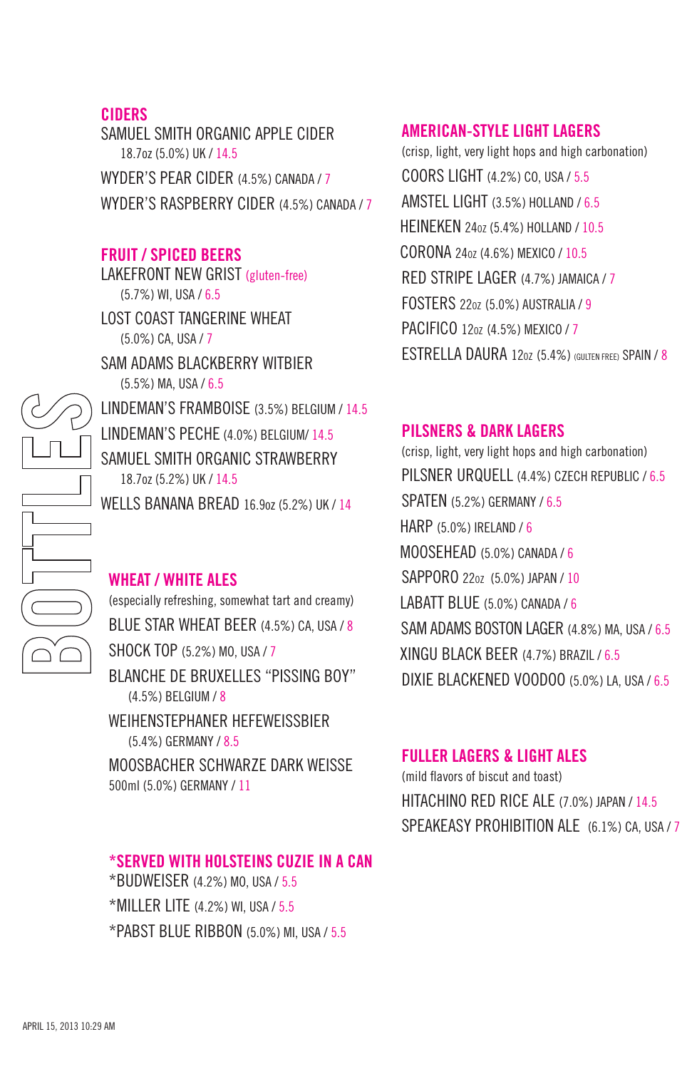#### CIDERS

SAMUEL SMITH ORGANIC APPLE CIDER 18.7oz (5.0%) UK / 14.5 WYDER'S PEAR CIDER (4.5%) CANADA / 7 WYDER'S RASPBERRY CIDER (4.5%) CANADA / 7

#### FRUIT / SPICED BEERS

LAKEFRONT NEW GRIST (gluten-free) (5.7%) WI, USA / 6.5 LOST COAST TANGERINE WHEAT (5.0%) CA, USA / 7 SAM ADAMS BLACKBERRY WITBIER (5.5%) MA, USA / 6.5 LINDEMAN'S FRAMBOISE (3.5%) BELGIUM / 14.5 LINDEMAN'S PECHE (4.0%) BELGIUM/ 14.5 SAMUEL SMITH ORGANIC STRAWBERRY 18.7oz (5.2%) UK / 14.5 WELLS BANANA BREAD 16.907 (5.2%) UK / 14

#### WHEAT / WHITE ALES

(especially refreshing, somewhat tart and creamy) BLUE STAR WHEAT BEER (4.5%) CA, USA / 8 SHOCK TOP (5.2%) MO, USA / 7 BLANCHE DE BRUXELLES "PISSING BOY" (4.5%) BELGIUM / 8 WEIHENSTEPHANER HEFEWEISSBIER (5.4%) GERMANY / 8.5 MOOSBACHER SCHWARZE DARK WEISSE 500ml (5.0%) GERMANY / 11

## \*SERVED WITH HOLSTEINS CUZIE IN A CAN

\*BUDWEISER (4.2%) MO, USA / 5.5 \*MILLER LITE (4.2%) WI, USA / 5.5 \*PABST BLUE RIBBON (5.0%) MI, USA / 5.5

#### AMERICAN-STYLE LIGHT LAGERS

(crisp, light, very light hops and high carbonation) COORS LIGHT (4.2%) CO, USA / 5.5 AMSTEL LIGHT (3.5%) HOLLAND / 6.5 HEINEKEN 24oz (5.4%) HOLLAND / 10.5 CORONA 24oz (4.6%) MEXICO / 10.5 RED STRIPE LAGER (4.7%) JAMAICA / 7 FOSTERS 22oz (5.0%) AUSTRALIA / 9 PACIFICO 12oz (4.5%) MEXICO / 7 ESTRELLA DAURA 12oz (5.4%) (GULTEN FREE) SPAIN / 8

#### PILSNERS & DARK LAGERS

 (crisp, light, very light hops and high carbonation) PILSNER URQUELL (4.4%) CZECH REPUBLIC / 6.5 SPATEN (5.2%) GERMANY / 6.5 HARP (5.0%) IRELAND / 6 MOOSEHEAD (5.0%) CANADA / 6 SAPPORO 22oz (5.0%) JAPAN / 10 LABATT BLUE (5.0%) CANADA / 6 SAM ADAMS BOSTON LAGER (4.8%) MA, USA / 6.5 XINGU BLACK BEER (4.7%) BRAZIL / 6.5 DIXIE BLACKENED VOODOO (5.0%) LA, USA / 6.5

#### FULLER LAGERS & LIGHT ALES

(mild flavors of biscut and toast) HITACHINO RED RICE ALE (7.0%) JAPAN / 14.5 SPEAKEASY PROHIBITION ALE (6.1%) CA, USA / 7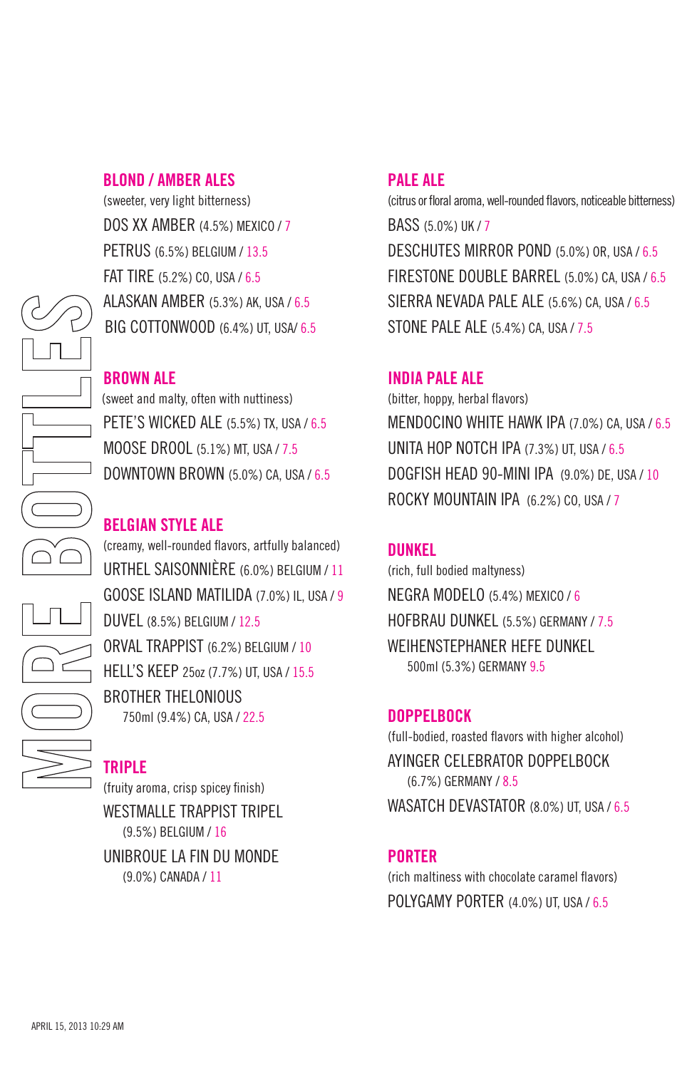#### BLOND / AMBER ALES

 (sweeter, very light bitterness) DOS XX AMBER (4.5%) MEXICO / 7 PETRUS (6.5%) BELGIUM / 13.5 FAT TIRE (5.2%) CO, USA / 6.5 ALASKAN AMBER (5.3%) AK, USA / 6.5 BIG COTTONWOOD (6.4%) UT, USA/ 6.5

#### BROWN ALE

 (sweet and malty, often with nuttiness) PETE'S WICKED ALE (5.5%) TX, USA / 6.5 MOOSE DROOL (5.1%) MT, USA / 7.5 DOWNTOWN BROWN  $(5.0\%)$  CA, USA / 6.5

#### BELGIAN STYLE ALE

 (creamy, well-rounded flavors, artfully balanced) URTHEL SAISONNIÈRE (6.0%) BELGIUM / 11 GOOSE ISLAND MATILIDA (7.0%) IL, USA / 9 DUVEL (8.5%) BELGIUM / 12.5 ORVAL TRAPPIST (6.2%) BELGIUM / 10 HELL'S KEEP 25oz (7.7%) UT, USA / 15.5 BROTHER THELONIOUS 750ml (9.4%) CA, USA / 22.5

#### TRIPLE

 (fruity aroma, crisp spicey finish) WESTMALLE TRAPPIST TRIPEL

(9.5%) BELGIUM / 16

 UNIBROUE LA FIN DU MONDE (9.0%) CANADA / 11

#### PALE ALE

(citrus or floral aroma, well-rounded flavors, noticeable bitterness) BASS (5.0%) UK / 7 DESCHUTES MIRROR POND (5.0%) OR, USA / 6.5 FIRESTONE DOUBLE BARREL (5.0%) CA, USA / 6.5 SIERRA NEVADA PALE ALE (5.6%) CA, USA / 6.5 STONE PALE ALE (5.4%) CA, USA / 7.5

#### INDIA PALE ALE

(bitter, hoppy, herbal flavors) MENDOCINO WHITE HAWK IPA (7.0%) CA, USA / 6.5 UNITA HOP NOTCH IPA (7.3%) UT, USA / 6.5 DOGFISH HEAD 90-MINI IPA (9.0%) DE, USA / 10 ROCKY MOUNTAIN IPA (6.2%) CO, USA / 7

#### DUNKEL

(rich, full bodied maltyness) NEGRA MODELO (5.4%) MEXICO / 6 HOFBRAU DUNKEL (5.5%) GERMANY / 7.5 WEIHENSTEPHANER HEFE DUNKEL 500ml (5.3%) GERMANY 9.5

#### DOPPELBOCK

(full-bodied, roasted flavors with higher alcohol) AYINGER CELEBRATOR DOPPELBOCK (6.7%) GERMANY / 8.5 WASATCH DEVASTATOR (8.0%) UT, USA / 6.5

#### PORTER

(rich maltiness with chocolate caramel flavors) POLYGAMY PORTER (4.0%) UT, USA / 6.5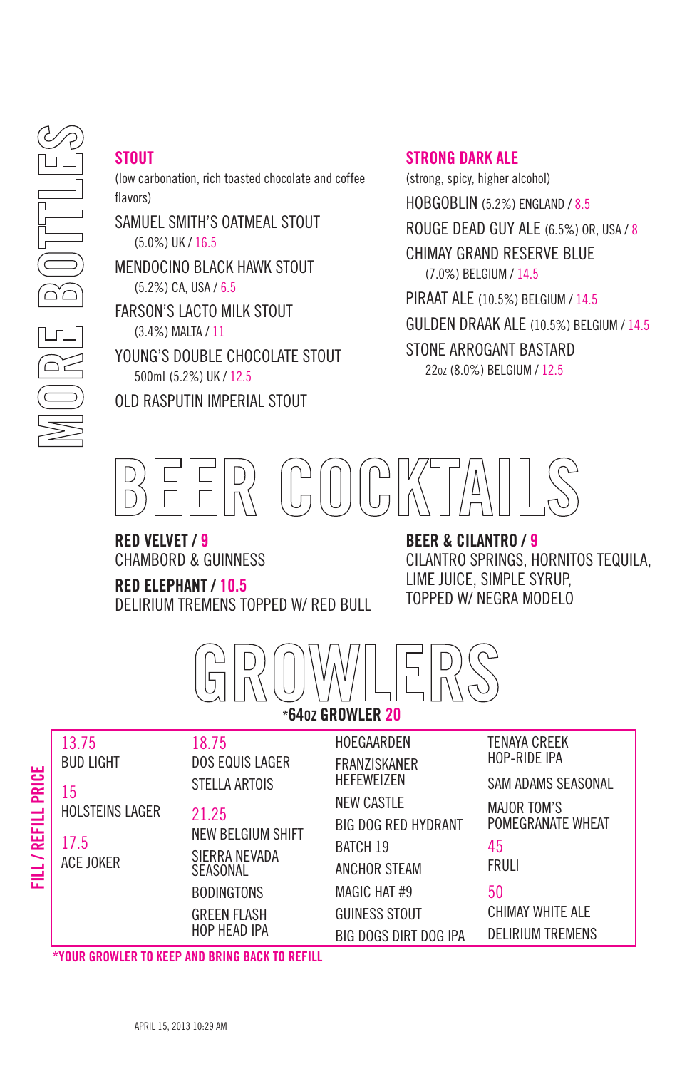## **STOUT**

(low carbonation, rich toasted chocolate and coffee flavors)

SAMUEL SMITH'S OATMEAL STOUT (5.0%) UK / 16.5

MENDOCINO BLACK HAWK STOUT (5.2%) CA, USA / 6.5

FARSON'S LACTO MILK STOUT (3.4%) MALTA / 11

YOUNG'S DOUBLE CHOCOLATE STOUT 500ml (5.2%) UK / 12.5

OLD RASPUTIN IMPERIAL STOUT

#### STRONG DARK ALF

(strong, spicy, higher alcohol) HOBGOBLIN (5.2%) ENGLAND / 8.5 ROUGE DEAD GUY ALE (6.5%) OR, USA / 8 CHIMAY GRAND RESERVE BLUE (7.0%) BELGIUM / 14.5 PIRAAT ALE (10.5%) BELGIUM / 14.5 GULDEN DRAAK ALE (10.5%) BELGIUM / 14.5

STONE ARROGANT BASTARD 22oz (8.0%) BELGIUM / 12.5



RED VELVET / 9 CHAMBORD & GUINNESS

#### RED ELEPHANT / 10.5

DELIRIUM TREMENS TOPPED W/ RED BULL

#### BEER & CILANTRO / 9

CILANTRO SPRINGS, HORNITOS TEQUILA, LIME JUICE, SIMPLE SYRUP, TOPPED W/ NEGRA MODELO



| <b>PRICE</b><br><b>REFILL</b><br>FILL) | 13.75<br><b>BUD LIGHT</b><br>15<br><b>HOLSTEINS LAGER</b><br>17.5<br><b>ACE JOKER</b> | 18.75<br><b>DOS EQUIS LAGER</b><br>STELLA ARTOIS<br>21.25<br>NEW BELGIUM SHIFT<br>SIERRA NEVADA<br><b>SEASONAL</b><br><b>BODINGTONS</b><br><b>GREEN FLASH</b><br>HOP HEAD IPA | HOEGAARDEN<br><b>FRANZISKANER</b><br><b>HEFEWEIZEN</b><br><b>NEW CASTLE</b><br><b>BIG DOG RED HYDRANT</b><br><b>BATCH 19</b><br>ANCHOR STEAM<br><b>MAGIC HAT #9</b><br>GUINESS STOUT<br>BIG DOGS DIRT DOG IPA | <b>TENAYA CREEK</b><br>HOP-RIDE IPA<br>SAM ADAMS SEASONAL<br><b>MAJOR TOM'S</b><br>POMEGRANATE WHEAT<br>45<br>FRULI<br>50<br>CHIMAY WHITE ALE<br><b>DELIRIUM TREMENS</b> |
|----------------------------------------|---------------------------------------------------------------------------------------|-------------------------------------------------------------------------------------------------------------------------------------------------------------------------------|---------------------------------------------------------------------------------------------------------------------------------------------------------------------------------------------------------------|--------------------------------------------------------------------------------------------------------------------------------------------------------------------------|
|----------------------------------------|---------------------------------------------------------------------------------------|-------------------------------------------------------------------------------------------------------------------------------------------------------------------------------|---------------------------------------------------------------------------------------------------------------------------------------------------------------------------------------------------------------|--------------------------------------------------------------------------------------------------------------------------------------------------------------------------|

\*YOUR GROWLER TO KEEP AND BRING BACK TO REFILL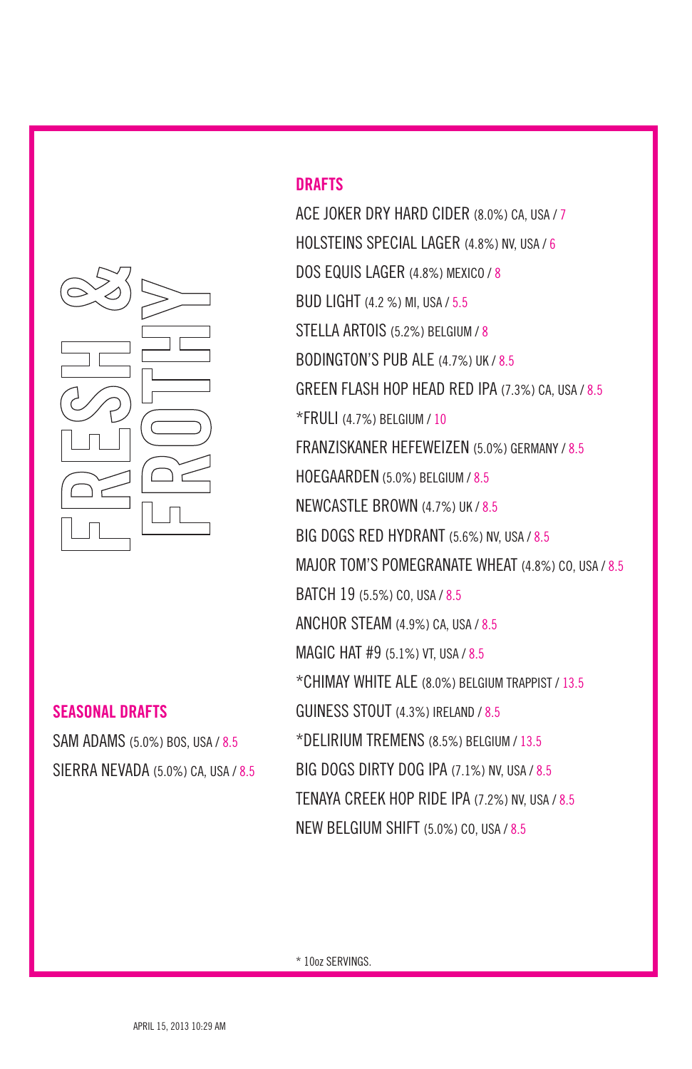

#### DRAFTS

ACE JOKER DRY HARD CIDER (8.0%) CA, USA / 7 HOLSTEINS SPECIAL LAGER (4.8%) NV, USA / 6 DOS EQUIS LAGER (4.8%) MEXICO / 8 BUD LIGHT (4.2 %) MI, USA / 5.5 STELLA ARTOIS (5.2%) BELGIUM / 8 BODINGTON'S PUB ALE (4.7%) UK / 8.5 GREEN FLASH HOP HEAD RED IPA (7.3%) CA, USA / 8.5 \*FRULI (4.7%) BELGIUM / 10 FRANZISKANER HEFEWEIZEN (5.0%) GERMANY / 8.5 HOEGAARDEN (5.0%) BELGIUM / 8.5 NEWCASTLE BROWN (4.7%) UK / 8.5 BIG DOGS RED HYDRANT (5.6%) NV, USA / 8.5 MAJOR TOM'S POMEGRANATE WHEAT (4.8%) CO, USA / 8.5 BATCH 19 (5.5%) CO, USA / 8.5 ANCHOR STEAM (4.9%) CA, USA / 8.5 MAGIC HAT #9 (5.1%) VT, USA / 8.5 \*CHIMAY WHITE ALE (8.0%) BELGIUM TRAPPIST / 13.5 GUINESS STOUT (4.3%) IRELAND / 8.5 \*DELIRIUM TREMENS (8.5%) BELGIUM / 13.5 BIG DOGS DIRTY DOG IPA (7.1%) NV, USA / 8.5 TENAYA CREEK HOP RIDE IPA (7.2%) NV, USA / 8.5 NEW BELGIUM SHIFT (5.0%) CO, USA / 8.5

#### SEASONAL DRAFTS

SAM ADAMS (5.0%) BOS, USA / 8.5 SIERRA NEVADA (5.0%) CA, USA / 8.5

\* 10oz SERVINGS.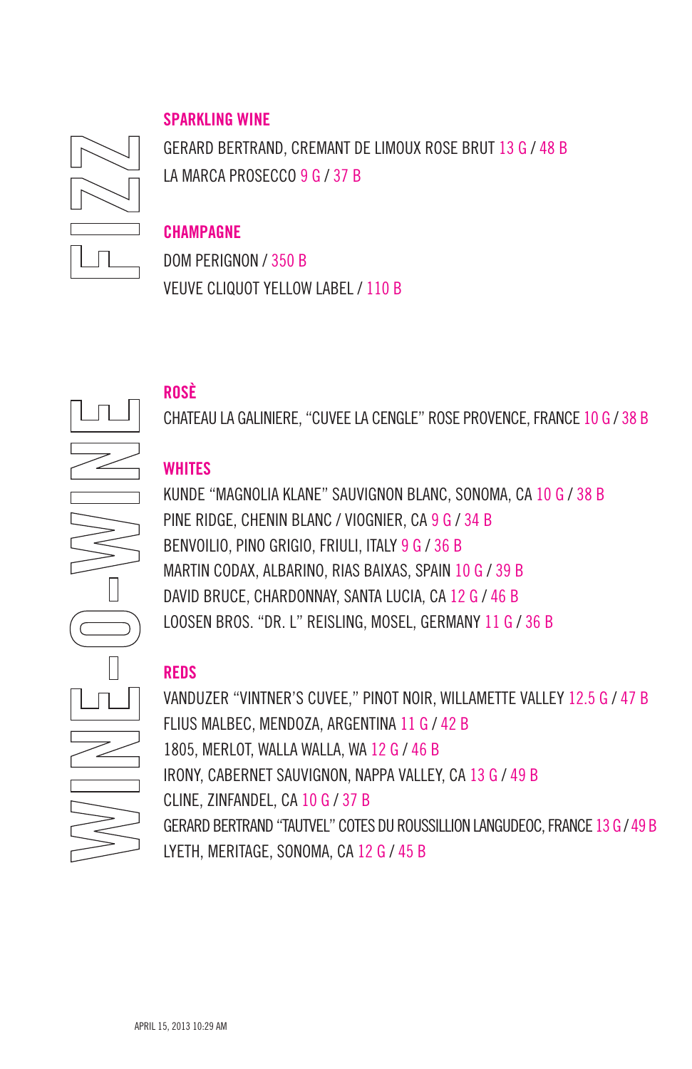#### SPARKLING WINE



GERARD BERTRAND, CREMANT DE LIMOUX ROSE BRUT 13 G / 48 B LA MARCA PROSECCO 9 G / 37 B

#### **CHAMPAGNE**

DOM PERIGNON / 350 B VEUVE CLIQUOT YELLOW LABEL / 110 B

ROSÈ

CHATEAU LA GALINIERE, "CUVEE LA CENGLE" ROSE PROVENCE, FRANCE 10 G / 38 B

#### **WHITES**

KUNDE "MAGNOLIA KLANE" SAUVIGNON BLANC, SONOMA, CA 10 G / 38 B PINE RIDGE, CHENIN BLANC / VIOGNIER, CA 9 G / 34 B BENVOILIO, PINO GRIGIO, FRIULI, ITALY 9 G / 36 B MARTIN CODAX, ALBARINO, RIAS BAIXAS, SPAIN 10 G / 39 B DAVID BRUCE, CHARDONNAY, SANTA LUCIA, CA 12 G / 46 B LOOSEN BROS. "DR. L" REISLING, MOSEL, GERMANY 11 G / 36 B

## REDS

VANDUZER "VINTNER'S CUVEE," PINOT NOIR, WILLAMETTE VALLEY 12.5 G / 47 B FLIUS MALBEC, MENDOZA, ARGENTINA 11 G / 42 B 1805, MERLOT, WALLA WALLA, WA 12 G / 46 B IRONY, CABERNET SAUVIGNON, NAPPA VALLEY, CA 13 G / 49 B CLINE, ZINFANDEL, CA 10 G / 37 B GERARD BERTRAND "TAUTVEL" COTES DU ROUSSILLION LANGUDEOC, FRANCE 13 G / 49 B LYETH, MERITAGE, SONOMA, CA 12 G / 45 B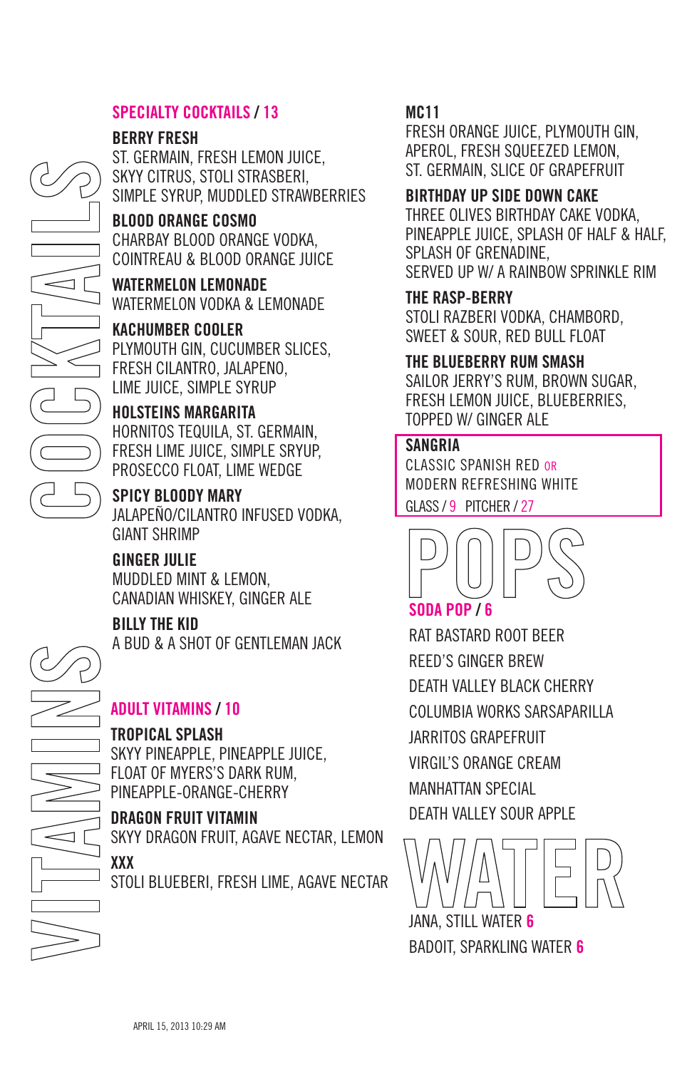#### SPECIALTY COCKTAILS / 13

#### BERRY FRESH

ST. GERMAIN, FRESH LEMON JUICE, SKYY CITRUS, STOLI STRASBERI, SIMPLE SYRUP, MUDDLED STRAWBERRIES

#### BLOOD ORANGE COSMO

CHARBAY BLOOD ORANGE VODKA, COINTREAU & BLOOD ORANGE JUICE

WATERMELON LEMONADE WATERMELON VODKA & LEMONADE

KACHUMBER COOLER PLYMOUTH GIN, CUCUMBER SLICES, FRESH CILANTRO, JALAPENO, LIME JUICE, SIMPLE SYRUP

## HOLSTEINS MARGARITA HORNITOS TEQUILA, ST. GERMAIN, FRESH LIME JUICE, SIMPLE SRYUP, PROSECCO FLOAT, LIME WEDGE

SPICY BLOODY MARY JALAPEÑO/CILANTRO INFUSED VODKA, GIANT SHRIMP

## GINGER JULIE MUDDLED MINT & LEMON,

CANADIAN WHISKEY, GINGER ALE

#### BILLY THE KID

A BUD & A SHOT OF GENTLEMAN JACK

## ADULT VITAMINS / 10

#### TROPICAL SPLASH

SKYY PINEAPPLE, PINEAPPLE JUICE, FLOAT OF MYERS'S DARK RUM, PINEAPPLE-ORANGE-CHERRY

#### DRAGON FRUIT VITAMIN

SKYY DRAGON FRUIT, AGAVE NECTAR, LEMON

XXX STOLI BLUEBERI, FRESH LIME, AGAVE NECTAR

#### MC11

FRESH ORANGE JUICE, PLYMOUTH GIN, APEROL, FRESH SQUEEZED LEMON, ST. GERMAIN, SLICE OF GRAPEFRUIT

#### BIRTHDAY UP SIDE DOWN CAKE

THREE OLIVES BIRTHDAY CAKE VODKA, PINEAPPLE JUICE, SPLASH OF HALF & HALF, SPLASH OF GRENADINE, SERVED UP W/ A RAINBOW SPRINKLE RIM

#### THE RASP-BERRY

STOLI RAZBERI VODKA, CHAMBORD, SWEET & SOUR, RED BULL FLOAT

#### THE BLUEBERRY RUM SMASH

SAILOR JERRY'S RUM, BROWN SUGAR, FRESH LEMON JUICE, BLUEBERRIES, TOPPED W/ GINGER ALE

#### **SANGRIA**

CLASSIC SPANISH RED OR MODERN REFRESHING WHITE GLASS / 9 PITCHER / 27



## SODA POP / 6

RAT BASTARD ROOT BEER REED'S GINGER BREW DEATH VALLEY BLACK CHERRY COLUMBIA WORKS SARSAPARILLA JARRITOS GRAPEFRUIT VIRGIL'S ORANGE CREAM MANHATTAN SPECIAL DEATH VALLEY SOUR APPLE